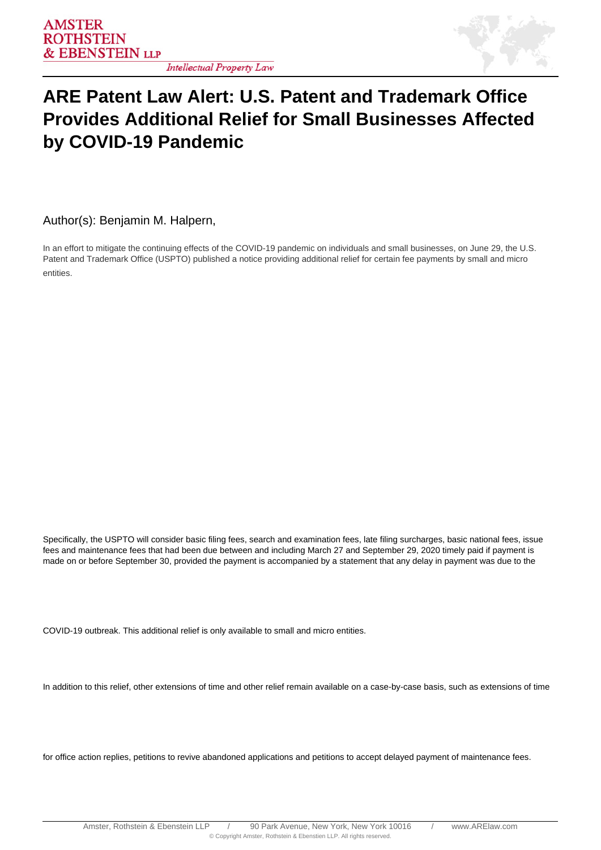

## **Intellectual Property Law**

## **ARE Patent Law Alert: U.S. Patent and Trademark Office Provides Additional Relief for Small Businesses Affected by COVID-19 Pandemic**

Author(s): Benjamin M. Halpern,

In an effort to mitigate the continuing effects of the COVID-19 pandemic on individuals and small businesses, on June 29, the U.S. Patent and Trademark Office (USPTO) published a notice providing additional relief for certain fee payments by small and micro entities.

Specifically, the USPTO will consider basic filing fees, search and examination fees, late filing surcharges, basic national fees, issue fees and maintenance fees that had been due between and including March 27 and September 29, 2020 timely paid if payment is made on or before September 30, provided the payment is accompanied by a statement that any delay in payment was due to the

COVID-19 outbreak. This additional relief is only available to small and micro entities.

In addition to this relief, other extensions of time and other relief remain available on a case-by-case basis, such as extensions of time

for office action replies, petitions to revive abandoned applications and petitions to accept delayed payment of maintenance fees.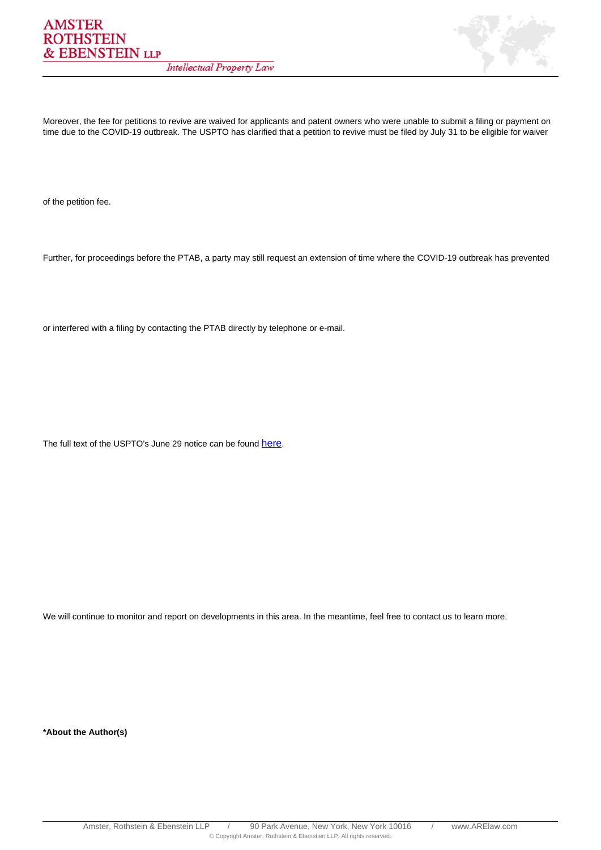

Moreover, the fee for petitions to revive are waived for applicants and patent owners who were unable to submit a filing or payment on time due to the COVID-19 outbreak. The USPTO has clarified that a petition to revive must be filed by July 31 to be eligible for waiver

of the petition fee.

Further, for proceedings before the PTAB, a party may still request an extension of time where the COVID-19 outbreak has prevented

or interfered with a filing by contacting the PTAB directly by telephone or e-mail.

The full text of the USPTO's June 29 notice can be found [here](https://www.uspto.gov/sites/default/files/documents/Patents-Notice-CARES-Act-2020-06.pdf).

We will continue to monitor and report on developments in this area. In the meantime, feel free to contact us to learn more.

**\*About the Author(s)**